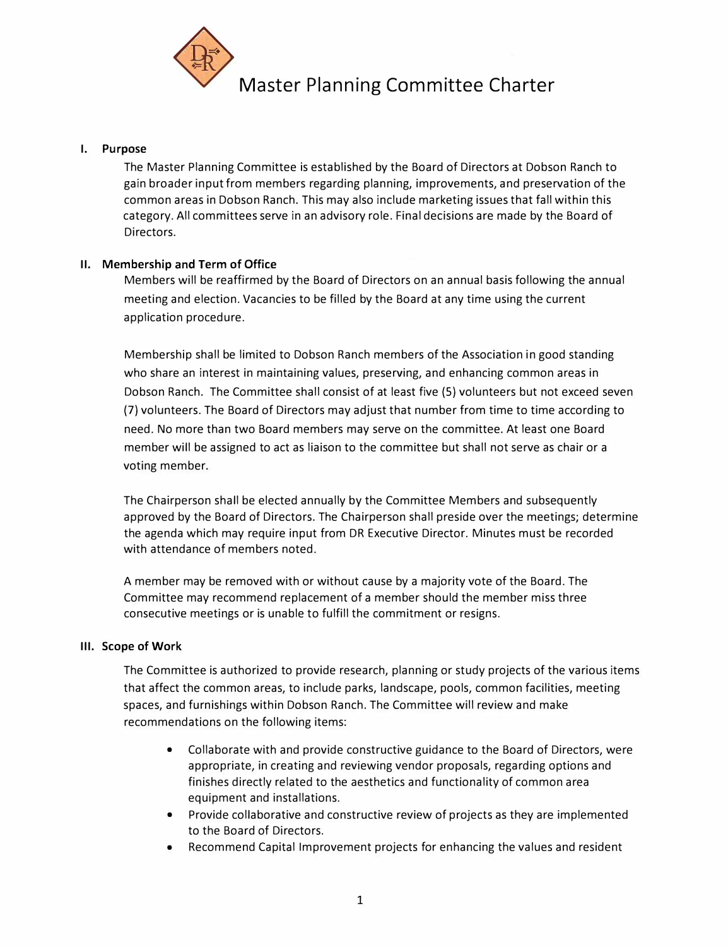

## **I. Purpose**

The Master Planning Committee is established by the Board of Directors at Dobson Ranch to gain broader input from members regarding planning, improvements, and preservation of the common areas in Dobson Ranch. This may also include marketing issues that fall within this category. All committees serve in an advisory role. Final decisions are made by the Board of Directors.

## **II. Membership and Term of Office**

Members will be reaffirmed by the Board of Directors on an annual basis following the annual meeting and election. Vacancies to be filled by the Board at any time using the current application procedure.

Membership shall be limited to Dobson Ranch members of the Association in good standing who share an interest in maintaining values, preserving, and enhancing common areas in Dobson Ranch. The Committee shall consist of at least five (5) volunteers but not exceed seven (7) volunteers. The Board of Directors may adjust that number from time to time according to need. No more than two Board members may serve on the committee. At least one Board member will be assigned to act as liaison to the committee but shall not serve as chair or a voting member.

The Chairperson shall be elected annually by the Committee Members and subsequently approved by the Board of Directors. The Chairperson shall preside over the meetings; determine the agenda which may require input from DR Executive Director. Minutes must be recorded with attendance of members noted.

A member may be removed with or without cause by a majority vote of the Board. The Committee may recommend replacement of a member should the member miss three consecutive meetings or is unable to fulfill the commitment or resigns.

## **Ill. Scope of Work**

The Committee is authorized to provide research, planning or study projects of the various items that affect the common areas, to include parks, landscape, pools, common facilities, meeting spaces, and furnishings within Dobson Ranch. The Committee will review and make recommendations on the following items:

- Collaborate with and provide constructive guidance to the Board of Directors, were appropriate, in creating and reviewing vendor proposals, regarding options and finishes directly related to the aesthetics and functionality of common area equipment and installations.
- Provide collaborative and constructive review of projects as they are implemented to the Board of Directors.
- Recommend Capital Improvement projects for enhancing the values and resident